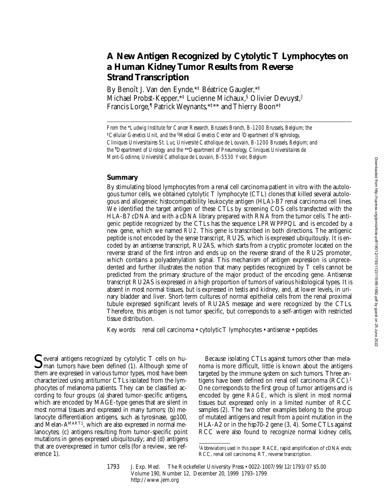# **A New Antigen Recognized by Cytolytic T Lymphocytes on a Human Kidney Tumor Results from Reverse Strand Transcription**

By Benoît J. Van den Eynde,\*‡ Béatrice Gaugler,\*‡ Michael Probst-Kepper, \*<sup>†</sup> Lucienne Michaux, <sup>§</sup> Olivier Devuyst, Francis Lorge,¶ Patrick Weynants,\*‡\*\* and Thierry Boon\*‡

*From the* \**Ludwig Institute for Cancer Research, Brussels Branch, B-1200 Brussels, Belgium; the*  ‡*Cellular Genetics Unit, and the* §*Medical Genetics Center and* <sup>i</sup> *Department of Nephrology, Cliniques Universitaires St. Luc, Université Catholique de Louvain, B-1200 Brussels, Belgium; and the ¶ Department of Urology and the* \*\**Department of Pneumology, Cliniques Universitaires de Mont-Godinne, Université Catholique de Louvain, B-5530 Yvoir, Belgium*

# **Summary**

By stimulating blood lymphocytes from a renal cell carcinoma patient in vitro with the autologous tumor cells, we obtained cytolytic T lymphocyte (CTL) clones that killed several autologous and allogeneic histocompatibility leukocyte antigen (HLA)-B7 renal carcinoma cell lines. We identified the target antigen of these CTLs by screening COS cells transfected with the HLA-B7 cDNA and with a cDNA library prepared with RNA from the tumor cells. The antigenic peptide recognized by the CTLs has the sequence LPRWPPPQL and is encoded by a new gene, which we named *RU2*. This gene is transcribed in both directions. The antigenic peptide is not encoded by the sense transcript, RU2S, which is expressed ubiquitously. It is encoded by an antisense transcript, RU2AS, which starts from a cryptic promoter located on the reverse strand of the first intron and ends up on the reverse strand of the RU2S promoter, which contains a polyadenylation signal. This mechanism of antigen expression is unprecedented and further illustrates the notion that many peptides recognized by T cells cannot be predicted from the primary structure of the major product of the encoding gene. Antisense transcript RU2AS is expressed in a high proportion of tumors of various histological types. It is absent in most normal tissues, but is expressed in testis and kidney, and, at lower levels, in urinary bladder and liver. Short-term cultures of normal epithelial cells from the renal proximal tubule expressed significant levels of RU2AS message and were recognized by the CTLs. Therefore, this antigen is not tumor specific, but corresponds to a self-antigen with restricted tissue distribution.

Key words: renal cell carcinoma • cytolytic T lymphocytes • antisense • peptides

Several antigens recognized by cytolytic T cells on hu-<br>man tumors have been defined (1). Although some of them are expressed in various tumor types, most have been characterized using antitumor CTLs isolated from the lymphocytes of melanoma patients. They can be classified according to four groups: (a) shared tumor-specific antigens, which are encoded by MAGE-type genes that are silent in most normal tissues and expressed in many tumors; (b) melanocyte differentiation antigens, such as tyrosinase, gp100, and Melan-AMART1, which are also expressed in normal melanocytes; (c) antigens resulting from tumor-specific point mutations in genes expressed ubiquitously; and (d) antigens that are overexpressed in tumor cells (for a review, see reference 1).

Because isolating CTLs against tumors other than melanoma is more difficult, little is known about the antigens targeted by the immune system on such tumors. Three antigens have been defined on renal cell carcinoma (RCC).1 One corresponds to the first group of tumor antigens and is encoded by gene *RAGE*, which is silent in most normal tissues but expressed only in a limited number of RCC samples (2). The two other examples belong to the group of mutated antigens and result from a point mutation in the HLA-A2 or in the hsp70-2 gene (3, 4). Some CTLs against RCC were also found to recognize normal kidney cells,

1793 J. Exp. Med. The Rockefeller University Press • 0022-1007/99/12/1793/07 \$5.00 Volume 190, Number 12, December 20, 1999 1793–1799 http://www.jem.org

<sup>1</sup>*Abbreviations used in this paper:* RACE, rapid amplification of cDNA ends; RCC, renal cell carcinoma; RT, reverse transcription.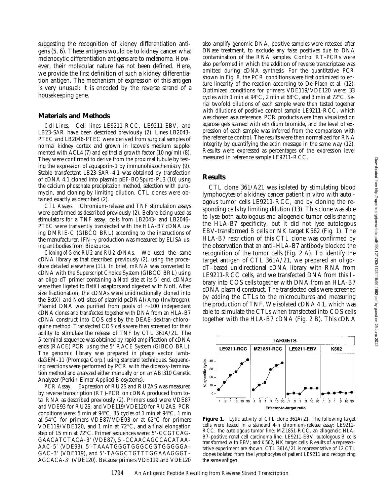suggesting the recognition of kidney differentiation antigens (5, 6). These antigens would be to kidney cancer what melanocytic differentiation antigens are to melanoma. However, their molecular nature has not been defined. Here, we provide the first definition of such a kidney differentiation antigen. The mechanism of expression of this antigen is very unusual: it is encoded by the reverse strand of a housekeeping gene.

## **Materials and Methods**

*Cell Lines.* Cell lines LE9211-RCC, LE9211-EBV, and LB23-SAR have been described previously (2). Lines LB2043- PTEC and LB2046-PTEC were derived from surgical samples of normal kidney cortex and grown in Iscove's medium supplemented with ACL4 (7) and epithelial growth factor (10 ng/ml) (8). They were confirmed to derive from the proximal tubule by testing the expression of aquaporin-1 by immunohistochemistry (9). Stable transfectant LB23-SAR-4.1 was obtained by transfection of cDNA 4.1 cloned into plasmid pEF-BOSpuro-PL3 (10) using the calcium phosphate precipitation method, selection with puromycin, and cloning by limiting dilution. CTL clones were obtained exactly as described (2).

*CTL Assays.* Chromium-release and TNF stimulation assays were performed as described previously (2). Before being used as stimulators for a TNF assay, cells from LB2043- and LB2046- PTEC were transiently transfected with the HLA-B7 cDNA using DMRIE-C (GIBCO BRL) according to the instructions of the manufacturer. IFN- $\gamma$  production was measured by ELISA using antibodies from Biosource.

*Cloning of Gene RU2 and RU2 cDNAs.* We used the same cDNA library as that described previously (2), using the procedure detailed elsewhere (11). In brief, mRNA was converted to cDNA with the Superscript Choice System (GIBCO BRL) using an oligo-dT primer containing a NotI site at its 5' end. cDNAs were then ligated to BstXI adaptors and digested with NotI. After size fractionation, the cDNAs were unidirectionally cloned into the BstXI and NotI sites of plasmid pcDNAI/Amp (Invitrogen). Plasmid DNA was purified from pools of  $\sim$ 100 independent cDNA clones and transfected together with DNA from an HLA-B7 cDNA construct into COS cells by the DEAE-dextran-chloroquine method. Transfected COS cells were then screened for their ability to stimulate the release of TNF by CTL 361A/21. The 5-terminal sequence was obtained by rapid amplification of cDNA ends (RACE) PCR using the 5' RACE System (GIBCO BRL). The genomic library was prepared in phage vector lambdaGEM-11 (Promega Corp.) using standard techniques. Sequencing reactions were performed by PCR with the dideoxy-termination method and analyzed either manually or on an ABI310 Genetic Analyzer (Perkin-Elmer Applied Biosystems).

*PCR Assay.* Expression of RU2S and RU2AS was measured by reverse transcription (RT)-PCR on cDNA produced from total RNA as described previously (2). Primers used were VDE87 and VDE93 for RU2S, and VDE119/VDE120 for RU2AS. PCR conditions were: 5 min at  $94^{\circ}$ C, 35 cycles of 1 min at  $94^{\circ}$ C, 1 min at  $54^{\circ}$ C for primers VDE87/VDE93 or at  $62^{\circ}$ C for primers VDE119/VDE120, and 1 min at  $72^{\circ}$ C, and a final elongation step of 15 min at 72°C. Primer sequences were: 5'-CCGTCAG-GAACATCTACA-3' (VDE87), 5'-CCAACAGCCACATAA-AAC-5' (VDE93), 5'-TAAATGGGTGGGCGGTGGGGGA-GAC-3' (VDE119), and 5'-TAGGCTGTTTGGAAAGGGT-AGCACA-3' (VDE120). Because primers VDE119 and VDE120

also amplify genomic DNA, positive samples were retested after DNase treatment, to exclude any false positives due to DNA contamination of the RNA samples. Control RT-PCRs were also performed in which the addition of reverse transcriptase was omitted during cDNA synthesis. For the quantitative PCR shown in Fig. 8, the PCR conditions were first optimized to ensure linearity of the reaction according to De Plaen et al. (12). Optimized conditions for primers VDE119/VDE120 were: 33 cycles with 1 min at  $94^{\circ}$ C, 2 min at  $68^{\circ}$ C, and 3 min at  $72^{\circ}$ C. Serial twofold dilutions of each sample were then tested together with dilutions of positive control sample LE9211-RCC, which was chosen as a reference. PCR products were then visualized on agarose gels stained with ethidium bromide, and the level of expression of each sample was inferred from the comparison with the reference control. The results were then normalized for RNA integrity by quantifying the actin message in the same way (12). Results were expressed as percentages of the expression level measured in reference sample LE9211-RCC.

#### **Results**

CTL clone 361/A21 was isolated by stimulating blood lymphocytes of a kidney cancer patient in vitro with autologous tumor cells LE9211-RCC, and by cloning the responding cells by limiting dilution (13). This clone was able to lyse both autologous and allogeneic tumor cells sharing the HLA-B7 specificity, but it did not lyse autologous EBV-transformed B cells or NK target K562 (Fig. 1). The HLA-B7 restriction of this CTL clone was confirmed by the observation that an anti–HLA-B7 antibody blocked the recognition of the tumor cells (Fig. 2 A). To identify the target antigen of CTL 361A/21, we prepared an oligodT–based unidirectional cDNA library with RNA from LE9211-RCC cells, and we transfected DNA from this library into COS cells together with DNA from an HLA-B7 cDNA plasmid construct. The transfected cells were screened by adding the CTLs to the microcultures and measuring the production of TNF. We isolated cDNA 4.1, which was able to stimulate the CTLs when transfected into COS cells together with the HLA-B7 cDNA (Fig. 2 B). This cDNA



Figure 1. Lytic activity of CTL clone 361A/21. The following target cells were tested in a standard 4-h chromium-release assay: LE9211- RCC, the autologous tumor line; MZ1851-RCC, an allogeneic HLA-B7–positive renal cell carcinoma line; LE9211-EBV, autologous B cells transformed with EBV; and K562, NK target cells. Results of a representative experiment are shown. CTL 361A/21 is representative of 12 CTL clones isolated from the lymphocytes of patient LE9211 and recognizing the same antigen.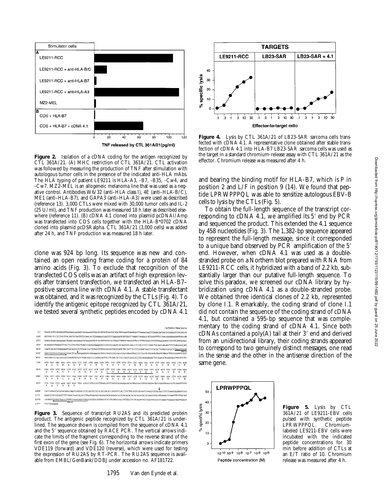

Figure 2. Isolation of a cDNA coding for the antigen recognized by CTL 361A/21. (A) MHC restriction of CTL 361A/21. CTL activation was followed by measuring the production of TNF after stimulation with autologous tumor cells in the presence of the indicated anti-HLA mAbs. The HLA typing of patient LE9211 is HLA-A3, -B7, -B35, -Cw4, and -Cw7. MZ2-MEL is an allogeneic melanoma line that was used as a negative control. Antibodies W6/32 (anti–HLA class I), 4E (anti–HLA-B/C), ME1 (anti–HLA-B7), and GAPA3 (anti–HLA-A3) were used as described (reference 13). 3,000 CTLs were mixed with 30,000 tumor cells and IL-2 (25 U/ml), and TNF production was measured 18 h later as described elsewhere (reference 11). (B) cDNA 4.1 cloned into plasmid pcDNAI/Amp was transfected into COS cells together with the HLA-B\*0702 cDNA cloned into plasmid pcDSRalpha. CTL 361A/21 (3,000 cells) was added after 24 h, and TNF production was measured 18 h later.

clone was 924 bp long. Its sequence was new and contained an open reading frame coding for a protein of 84 amino acids (Fig. 3). To exclude that recognition of the transfected COS cells was an artifact of high expression levels after transient transfection, we transfected an HLA-B7– positive sarcoma line with cDNA 4.1. A stable transfectant was obtained, and it was recognized by the CTLs (Fig. 4). To identify the antigenic epitope recognized by CTL 361A/21, we tested several synthetic peptides encoded by cDNA 4.1

|                                                                                                                 |                                                                                                         |          |           |                 |           |           |   |           |                 |           |                |          |                                                                                  |                     |                 |                 |           |          |          |           |          |                       | CATTATGCTAACAGCA |           |             |          |
|-----------------------------------------------------------------------------------------------------------------|---------------------------------------------------------------------------------------------------------|----------|-----------|-----------------|-----------|-----------|---|-----------|-----------------|-----------|----------------|----------|----------------------------------------------------------------------------------|---------------------|-----------------|-----------------|-----------|----------|----------|-----------|----------|-----------------------|------------------|-----------|-------------|----------|
| 17                                                                                                              |                                                                                                         |          |           |                 |           |           |   |           |                 |           |                |          |                                                                                  |                     |                 |                 |           |          |          |           |          |                       |                  |           |             |          |
| 120                                                                                                             |                                                                                                         |          |           |                 |           |           |   |           |                 |           |                |          |                                                                                  |                     |                 |                 |           |          |          |           |          |                       |                  |           |             |          |
| 223                                                                                                             | AAAGGAAAGAAAAAACTGAACAGAAAAACGCAAAAGTATCAGTTTGGTCACTAACCTTTGCAAGGATACCTTTTTFTTTFCTTTAAGATTCCTGTTGTTTATG |          |           |                 |           |           |   |           |                 |           |                |          |                                                                                  |                     |                 |                 |           |          |          |           |          |                       |                  |           |             |          |
| 326                                                                                                             | ACAGATTTTFAAGTTTFACTCCTACTGCTGACCCAAGTGAAATTCCTTCTCCAGTCACAGTGTCAACCTCTACCCCCAACTGCAACGAGAGTTTTGAGGGCAT |          |           |                 |           |           |   |           |                 |           |                |          |                                                                                  |                     |                 |                 |           |          |          |           |          |                       |                  |           |             |          |
| 429                                                                                                             | CAATCACACCGAGAAGTCACAGCCCCTCAACCACTGAGGTGTGGGGGGTAGGGATCTGCATTTCTTCATATCAACCCCACACTATAGGGCACCTAAATGGGT  |          |           |                 |           |           |   |           |                 |           |                |          |                                                                                  |                     |                 |                 |           |          |          |           |          |                       |                  |           |             |          |
| 532                                                                                                             |                                                                                                         |          |           |                 |           |           |   |           |                 |           |                |          |                                                                                  |                     |                 |                 |           |          |          |           |          |                       |                  |           |             | VDEII    |
| 635<br>GGCCAGTCCGCGGGGTGTAGATGTTCCTGACGGCCCCAAAGGGTGCCTGAACGCCGGCGGTCACCTCCTTCAGGAAGACTTCGAAGCTGGACACCTTCTTC    |                                                                                                         |          |           |                 |           |           |   |           |                 |           |                |          |                                                                                  |                     |                 |                 |           |          |          |           |          |                       |                  |           |             |          |
| 738                                                                                                             | ATG GAT<br>м                                                                                            | n        | GAC<br>n  | <b>GAC</b><br>Đ | GCG<br>А  | GCG.<br>А | Þ | coc<br>R  | <b>GTA</b><br>ν | GAA<br>P. | GGG.<br>a      | GTC<br>v | ccc<br>Þ                                                                         | υ                   | aca<br>л        | <b>CTA</b><br>v | CAC<br>H  | AAG<br>к | CAC<br>R | CCT.<br>A | т.       | CAC<br>н              | <b>GAC</b><br>Ð  | GOG.<br>G | CYRS:<br>٢. | AGA<br>R |
| 816                                                                                                             | CAG GTG<br>o                                                                                            | v        | А         | CCA<br>G        | p         | non<br>G  | А | CC T<br>A | acc<br>A        | COT.<br>Λ | CAT<br>и       |          | ccc<br>Þ                                                                         | cac<br>$\mathbb{R}$ | <b>TGC</b><br>w | CCG.<br>P       | ccc.<br>P | P        | CAG<br>o | CTC<br>ь  | GCT<br>А | GCT <sub>1</sub><br>A | <b>TCG</b><br>s  | R         | nas.<br>R   | GAG<br>Б |
| 894                                                                                                             | GCA<br>А                                                                                                | CCT<br>Р | Р         | ٢.              | s         | ٥         | R | Þ         | CAC<br>н        | coc<br>R  | $\Delta$<br>T. | ran<br>٥ | GGC<br>Ġ.                                                                        | ccco<br>л           | 0.73<br>G       | s               | P         | P        | CAA<br>R | т         | aan<br>N | GAG<br>E              | AAA<br>к         | ι.        | am<br>т     | AAT<br>N |
| 972                                                                                                             | CCA.<br>p                                                                                               | CAG<br>۰ | GTG.<br>v | AAA<br>ĸ        | GAG<br>F. | AAG.<br>ĸ |   |           |                 |           |                |          | TAA CGGCCGTGCGCCTAGGCGTCCACCCAGGGAGAGACACTAGGAGCTTGCAGGACTCGGAGTAGACGCTCAAGTTTTT |                     |                 |                 |           |          |          |           |          |                       |                  |           |             |          |
| 1068                                                                                                            | CACCGTGGCGTGCACAGCCAATCAGGACCCGCAGTGCGCGCACCACCACGTTCACCTACGGGCAGAATCAAGGTGGACAGCTTCTGAGCAGCCCG         |          |           |                 |           |           |   |           |                 |           |                |          |                                                                                  |                     |                 |                 |           |          |          |           |          |                       |                  |           |             |          |
| 1171                                                                                                            |                                                                                                         |          |           |                 |           |           |   |           |                 |           |                |          |                                                                                  |                     |                 |                 |           |          |          |           |          |                       |                  |           |             |          |
| 1274<br>CATATCTGTGCTACCCTTTCCAAACAGCCTAATTTTTCTTTTCTCTTTTCTTTGCACCTTTACCCCTCAATCTCCTGCTTCCTGCAAATTAAAGCAATTAAGT |                                                                                                         |          |           |                 |           |           |   |           |                 |           |                |          |                                                                                  |                     |                 |                 |           |          |          |           |          |                       |                  |           |             |          |
| 1377                                                                                                            | TCCTGGAAAA                                                                                              |          |           |                 | V60120    |           |   |           |                 |           |                |          |                                                                                  |                     |                 |                 |           |          |          |           |          |                       |                  |           |             |          |

**Figure 3.** Sequence of transcript RU2AS and its predicted protein product. The antigenic peptide recognized by CTL 361A/21 is underlined. The sequence shown is compiled from the sequence of cDNA 4.1 and the 5' sequence obtained by RACE PCR. The vertical arrows indicate the limits of the fragment corresponding to the reverse strand of the first exon of the gene (see Fig. 6). The horizontal arrows indicate primers VDE119 (forward) and VDE120 (reverse), which were used for testing the expression of RU2AS by RT-PCR. The RU2AS sequence is available from EMBL/GenBank/DDBJ under accession no. AF181722.

1795 Van den Eynde et al.



**Figure 4.** Lysis by CTL 361A/21 of LB23-SAR sarcoma cells transfected with cDNA 4.1. A representative clone obtained after stable transfection of cDNA 4.1 into HLA-B7 LB23-SAR sarcoma cells was used as the target in a standard chromium-release assay with CTL 361A/21 as the effector. Chromium release was measured after 4 h.

and bearing the binding motif for HLA-B7, which is P in position 2 and L/F in position 9 (14). We found that peptide LPRWPPPQL was able to sensitize autologous EBV-B cells to lysis by the CTLs (Fig. 5).

To obtain the full-length sequence of the transcript corresponding to cDNA 4.1, we amplified its  $5'$  end by PCR and sequenced the product. This extended the 4.1 sequence by 458 nucleotides (Fig. 3). The 1,382-bp sequence appeared to represent the full-length message, since it corresponded to a unique band observed by PCR amplification of the 5' end. However, when cDNA 4.1 was used as a doublestranded probe on a Northern blot prepared with RNA from LE9211-RCC cells, it hybridized with a band of 2.2 kb, substantially larger than our putative full-length sequence. To solve this paradox, we screened our cDNA library by hybridization using cDNA 4.1 as a double-stranded probe. We obtained three identical clones of 2.2 kb, represented by clone I.1. Remarkably, the coding strand of clone I.1 did not contain the sequence of the coding strand of cDNA 4.1, but contained a 595-bp sequence that was complementary to the coding strand of cDNA 4.1. Since both  $cDNAs$  contained a poly $(A)$  tail at their 3' end and derived from an unidirectional library, their coding strands appeared to correspond to two genuinely distinct messages, one read in the sense and the other in the antisense direction of the same gene.



**Figure 5.** Lysis by CTL 361A/21 of LE9211-EBV cells pulsed with synthetic peptide LPRWPPPQL. Chromiumlabeled LE9211-EBV cells were incubated with the indicated peptide concentrations for 30 min before addition of CTLs at an E/T ratio of 10. Chromium release was measured after 4 h.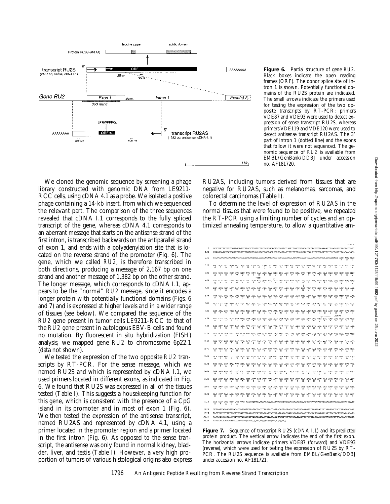

We cloned the genomic sequence by screening a phage library constructed with genomic DNA from LE9211- RCC cells, using cDNA 4.1 as a probe. We isolated a positive phage containing a 14-kb insert, from which we sequenced the relevant part. The comparison of the three sequences revealed that cDNA I.1 corresponds to the fully spliced transcript of the gene, whereas cDNA 4.1 corresponds to an aberrant message that starts on the antisense strand of the first intron, is transcribed backwards on the antiparallel strand of exon 1, and ends with a polyadenylation site that is located on the reverse strand of the promoter (Fig. 6). The gene, which we called *RU2*, is therefore transcribed in both directions, producing a message of 2,167 bp on one strand and another message of 1,382 bp on the other strand. The longer message, which corresponds to cDNA I.1, appears to be the "normal" *RU2* message, since it encodes a longer protein with potentially functional domains (Figs. 6 and 7) and is expressed at higher levels and in a wider range of tissues (see below). We compared the sequence of the *RU2* gene present in tumor cells LE9211-RCC to that of the *RU2* gene present in autologous EBV-B cells and found no mutation. By fluorescent in situ hybridization (FISH) analysis, we mapped gene *RU2* to chromosome 6p22.1 (data not shown).

We tested the expression of the two opposite *RU2* transcripts by RT-PCR. For the sense message, which we named RU2S and which is represented by cDNA I.1, we used primers located in different exons, as indicated in Fig. 6. We found that RU2S was expressed in all of the tissues tested (Table I). This suggests a housekeeping function for this gene, which is consistent with the presence of a CpG island in its promoter and in most of exon 1 (Fig. 6). We then tested the expression of the antisense transcript, named RU2AS and represented by cDNA 4.1, using a primer located in the promoter region and a primer located in the first intron (Fig. 6). As opposed to the sense transcript, the antisense was only found in normal kidney, bladder, liver, and testis (Table I). However, a very high proportion of tumors of various histological origins also express

**Figure 6.** Partial structure of gene *RU2*. Black boxes indicate the open reading frames (ORF). The donor splice site of intron 1 is shown. Potentially functional domains of the RU2S protein are indicated. The small arrows indicate the primers used for testing the expression of the two opposite transcripts by RT-PCR: primers VDE87 and VDE93 were used to detect expression of sense transcript RU2S, whereas primers VDE119 and VDE120 were used to detect antisense transcript RU2AS. The 3' part of intron 1 (dotted line) and the exons that follow it were not sequenced. The genomic sequence of *RU2* is available from EMBL/GenBank/DDBJ under accession no. AF181720.

RU2AS, including tumors derived from tissues that are negative for RU2AS, such as melanomas, sarcomas, and colorectal carcinomas (Table I).

To determine the level of expression of RU2AS in the normal tissues that were found to be positive, we repeated the RT-PCR using a limiting number of cycles and an optimized annealing temperature, to allow a quantitative am-



**Figure 7.** Sequence of transcript RU2S (cDNA I.1) and its predicted protein product. The vertical arrow indicates the end of the first exon. The horizontal arrows indicate primers VDE87 (forward) and VDE93 (reverse), which were used for testing the expression of RU2S by RT-PCR. The RU2S sequence is available from EMBL/GenBank/DDBJ under accession no. AF181721.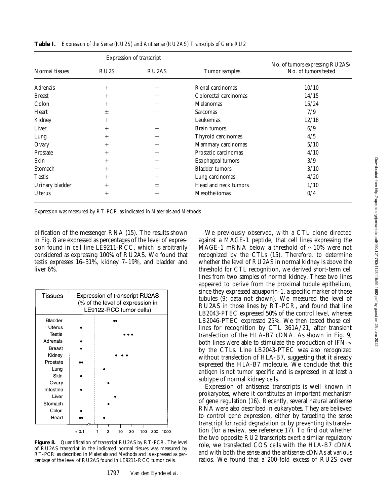|                 |                   | Expression of transcript       |                       |                                                         |  |  |  |
|-----------------|-------------------|--------------------------------|-----------------------|---------------------------------------------------------|--|--|--|
| Normal tissues  | RU <sub>2</sub> S | RU <sub>2</sub> A <sub>S</sub> | Tumor samples         | No. of tumors expressing RU2AS/<br>No. of tumors tested |  |  |  |
| Adrenals        | $^{+}$            |                                | Renal carcinomas      | 10/10                                                   |  |  |  |
| <b>Breast</b>   | $^{+}$            |                                | Colorectal carcinomas | 14/15                                                   |  |  |  |
| Colon           | $^+$              |                                | Melanomas             | 15/24                                                   |  |  |  |
| Heart           | 土                 |                                | Sarcomas              | 7/9                                                     |  |  |  |
| Kidney          | $^{+}$            | $^{+}$                         | Leukemias             | 12/18                                                   |  |  |  |
| Liver           | $^{+}$            | $^{+}$                         | Brain tumors          | 6/9                                                     |  |  |  |
| Lung            | $^{+}$            |                                | Thyroid carcinomas    | 4/5                                                     |  |  |  |
| Ovary           | $^{+}$            |                                | Mammary carcinomas    | 5/10                                                    |  |  |  |
| Prostate        | $^{+}$            |                                | Prostatic carcinomas  | 4/10                                                    |  |  |  |
| Skin            | $^{+}$            |                                | Esophageal tumors     | 3/9                                                     |  |  |  |
| Stomach         | $^{+}$            |                                | <b>Bladder</b> tumors | 3/10                                                    |  |  |  |
| <b>Testis</b>   | $^{+}$            | $\pm$                          | Lung carcinomas       | 4/20                                                    |  |  |  |
| Urinary bladder | $^{+}$            | 土                              | Head and neck tumors  | 1/10                                                    |  |  |  |
| Uterus          | $+$               |                                | Mesotheliomas         | 0/4                                                     |  |  |  |

**Table I.** *Expression of the Sense (RU2S) and Antisense (RU2AS) Transcripts of Gene RU2*

Expression was measured by RT-PCR as indicated in Materials and Methods.

plification of the messenger RNA (15). The results shown in Fig. 8 are expressed as percentages of the level of expression found in cell line LE9211-RCC, which is arbitrarily considered as expressing 100% of RU2AS. We found that testis expresses 16–31%, kidney 7–19%, and bladder and liver 6%.



**Figure 8.** Quantification of transcript RU2AS by RT-PCR. The level of RU2AS transcript in the indicated normal tissues was measured by RT-PCR as described in Materials and Methods and is expressed as percentage of the level of RU2AS found in LE9211-RCC tumor cells.

1797 Van den Eynde et al.

We previously observed, with a CTL clone directed against a MAGE-1 peptide, that cell lines expressing the MAGE-1 mRNA below a threshold of  $\sim$ 10% were not recognized by the CTLs (15). Therefore, to determine whether the level of RU2AS in normal kidney is above the threshold for CTL recognition, we derived short-term cell lines from two samples of normal kidney. These two lines appeared to derive from the proximal tubule epithelium, since they expressed aquaporin-1, a specific marker of those tubules (9; data not shown). We measured the level of RU2AS in those lines by RT-PCR, and found that line LB2043-PTEC expressed 50% of the control level, whereas LB2046-PTEC expressed 25%. We then tested those cell lines for recognition by CTL 361A/21, after transient transfection of the HLA-B7 cDNA. As shown in Fig. 9, both lines were able to stimulate the production of IFN- $\gamma$ by the CTLs. Line LB2043-PTEC was also recognized without transfection of HLA-B7, suggesting that it already expressed the HLA-B7 molecule. We conclude that this antigen is not tumor specific and is expressed in at least a subtype of normal kidney cells.

Expression of antisense transcripts is well known in prokaryotes, where it constitutes an important mechanism of gene regulation (16). Recently, several natural antisense RNA were also described in eukaryotes. They are believed to control gene expression, either by targeting the sense transcript for rapid degradation or by preventing its translation (for a review, see reference 17). To find out whether the two opposite RU2 transcripts exert a similar regulatory role, we transfected COS cells with the HLA-B7 cDNA and with both the sense and the antisense cDNAs at various ratios. We found that a 200-fold excess of RU2S over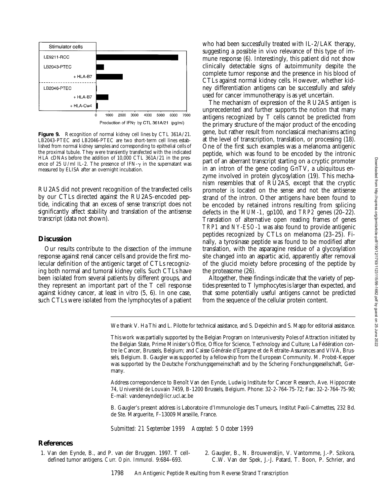

**Figure 9.** Recognition of normal kidney cell lines by CTL 361A/21. LB2043-PTEC and LB2046-PTEC are two short-term cell lines established from normal kidney samples and corresponding to epithelial cells of the proximal tubule. They were transiently transfected with the indicated HLA cDNAs before the addition of 10,000 CTL 361A/21 in the presence of 25 U/ml IL-2. The presence of IFN- $\gamma$  in the supernatant was measured by ELISA after an overnight incubation.

RU2AS did not prevent recognition of the transfected cells by our CTLs directed against the RU2AS-encoded peptide, indicating that an excess of sense transcript does not significantly affect stability and translation of the antisense transcript (data not shown).

## **Discussion**

Our results contribute to the dissection of the immune response against renal cancer cells and provide the first molecular definition of the antigenic target of CTLs recognizing both normal and tumoral kidney cells. Such CTLs have been isolated from several patients by different groups, and they represent an important part of the T cell response against kidney cancer, at least in vitro (5, 6). In one case, such CTLs were isolated from the lymphocytes of a patient who had been successfully treated with IL-2/LAK therapy, suggesting a possible in vivo relevance of this type of immune response (6). Interestingly, this patient did not show clinically detectable signs of autoimmunity despite the complete tumor response and the presence in his blood of CTLs against normal kidney cells. However, whether kidney differentiation antigens can be successfully and safely used for cancer immunotherapy is as yet uncertain.

The mechanism of expression of the RU2AS antigen is unprecedented and further supports the notion that many antigens recognized by T cells cannot be predicted from the primary structure of the major product of the encoding gene, but rather result from nonclassical mechanisms acting at the level of transcription, translation, or processing (18). One of the first such examples was a melanoma antigenic peptide, which was found to be encoded by the intronic part of an aberrant transcript starting on a cryptic promoter in an intron of the gene coding GnTV, a ubiquitous enzyme involved in protein glycosylation (19). This mechanism resembles that of RU2AS, except that the cryptic promoter is located on the sense and not the antisense strand of the intron. Other antigens have been found to be encoded by retained introns resulting from splicing defects in the *MUM-1*, gp100, and *TRP2* genes (20–22). Translation of alternative open reading frames of genes *TRP1* and *NY-ESO-1* was also found to provide antigenic peptides recognized by CTLs on melanoma (23–25). Finally, a tyrosinase peptide was found to be modified after translation, with the asparagine residue of a glycosylation site changed into an aspartic acid, apparently after removal of the glucid moiety before processing of the peptide by the proteasome (26).

Altogether, these findings indicate that the variety of peptides presented to T lymphocytes is larger than expected, and that some potentially useful antigens cannot be predicted from the sequence of the cellular protein content.

We thank V. Ha Thi and L. Pilotte for technical assistance, and S. Depelchin and S. Mapp for editorial assistance.

This work was partially supported by the Belgian Program on Interuniversity Poles of Attraction initiated by the Belgian State, Prime Minister's Office, Office for Science, Technology and Culture; La Fédération contre le Cancer, Brussels, Belgium; and Caisse Générale d'Epargne et de Retraite-Assurances and VIVA, Brussels, Belgium. B. Gaugler was supported by a fellowship from the European Community. M. Probst-Kepper was supported by the Deutsche Forschungsgemeinschaft and by the Schering Forschungsgesellschaft, Germany.

Address correspondence to Benoît Van den Eynde, Ludwig Institute for Cancer Research, Ave. Hippocrate 74, Université de Louvain 7459, B-1200 Brussels, Belgium. Phone: 32-2-764-75-72; Fax: 32-2-764-75-90; E-mail: vandeneynde@licr.ucl.ac.be

B. Gaugler's present address is Laboratoire d'Immunologie des Tumeurs, Institut Paoli-Calmettes, 232 Bd. de Ste. Marguerite, F-13009 Marseille, France.

*Submitted: 21 September 1999 Accepted: 5 October 1999*

#### **References**

1. Van den Eynde, B., and P. van der Bruggen. 1997. T celldefined tumor antigens. *Curr. Opin. Immunol.* 9:684–693.

2. Gaugler, B., N. Brouwenstijn, V. Vantomme, J.-P. Szikora, C.W. Van der Spek, J.-J. Patard, T. Boon, P. Schrier, and